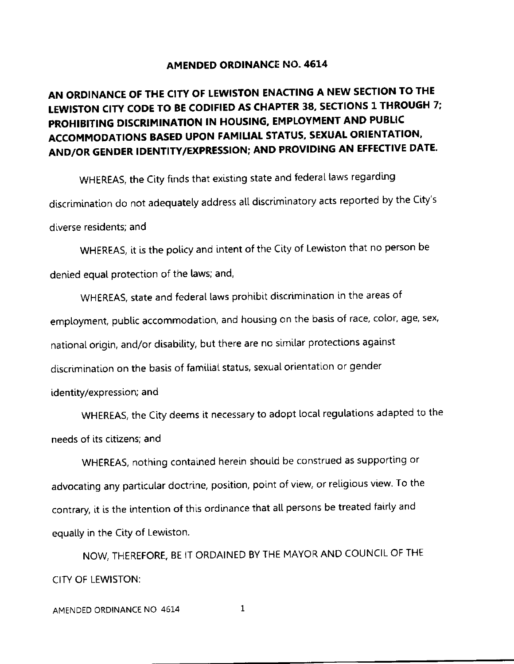#### AMENDED ORDINANCE NO. 4614

## AN ORDINANCE OF THE CITY OF LEWISTON ENACTING A NEW SECTION TO THE LEWISTON CITY CODE TO BE CODIFIED AS CHAPTER 38, SECTIONS 1 THROUGH 7; PROHIBITING DISCRIMINATION IN HOUSING, EMPLOYMENT AND PUBLIC ACCOMMODATIONS BASED UPON FAMILIAL STATUS, SEXUAL ORIENTATION, AND/OR GENDER IDENTITY/EXPRESSION; AND PROVIDING AN EFFECTIVE DATE.

WHEREAS, the City finds that existing state and federal laws regarding discrimination do not adequately address all discriminatory acts reported by the City's diverse residents; and

WHEREAS, it is the policy and intent of the City of Lewiston that no person be denied equat protection of the [aws; and,

WHEREAS, state and federal laws prohibit discrimination in the areas of employment, public accommodation, and housing on the basis of race, color, age, sex, national origin, and/or disability, but there are no similar protections against discrimination on the basis of familial status, sexual orientation or gender identity/expression; and

wHEREAS, the city deems it necessary to adopt tocat regulations adapted to the needs of its citizens; and

WHEREAS, nothing contained herein should be construed as supporting or advocating any particular doctrine, position, point of view, or religious view. To the contrary, it is the intention of this ordinance that all persons be treated fairly and equally in the City of Lewiston.

NOW, THEREFORE, BE IT ORDAINED BY THE MAYOR AND COUNCIL OF THE CITY OF LEWISTON: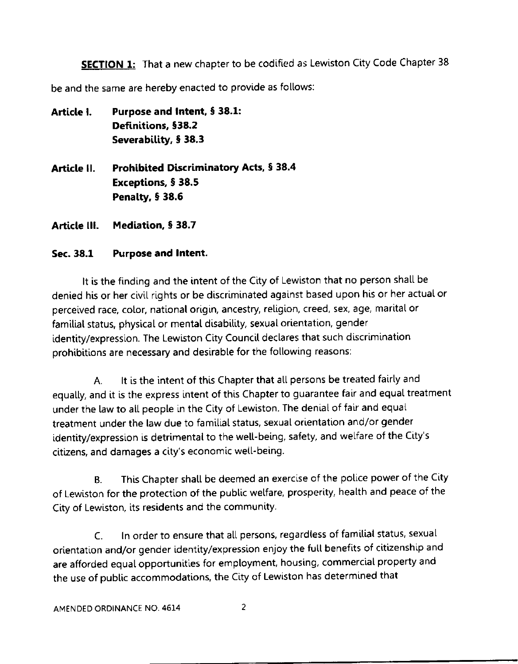**SECTION 1:** That a new chapter to be codified as Lewiston City Code Chapter 38

be and the same are hereby enacted to provide as follows:

Article I. Purpose and Intent, § 38.1: Definitions, §38.2 Severability, § 38.3 Article II. Prohibited Discriminatory Acts, § 38.4 Exceptions, 5 38.5 Penalty,  $$38.6$ 

Article III. Mediation, § 38.7

#### Sec. 38.1 Purpose and lntent.

It is the finding and the intent of the City of Lewiston that no person shall be denied his or her civil rights or be discriminated against based upon his or her actual or percelved race, color, national origin, ancestry, religion, creed, sex, age, marital or familial status, physical or mental disability, sexual orientation, gender identity/expression. The Lewiston City Council declares that such discrimination prohibitions are necessary and desirable for the following reasons:

A. It is the intent of this Chapter that all persons be treated fairly and equally, and it is the express intent of this Chapter to guarantee fair and equal treatment under the law to all people in the City of Lewiston. The denial of fair and equal treatment under the law due to familial status, sexual orientation and/or gender identity/expression is detrimental to the well-being, safety, and welfare of the City's citizens, and damages a city's economic wetl-being.

B. This Chapter shall be deemed an exercise of the police power of the City of Lewiston for the protection of the public welfare, prosperity, health and peace of the City of Lewiston, its residents and the community.

C. In order to ensure that all persons, regardless of familial status, sexual orientation and/or gender identity/expression enjoy the full benefits of citizenship and are afforded equal opportunities for employment, housing, commercial property and the use of public accommodations, the City of Lewiston has determined that

 $\overline{c}$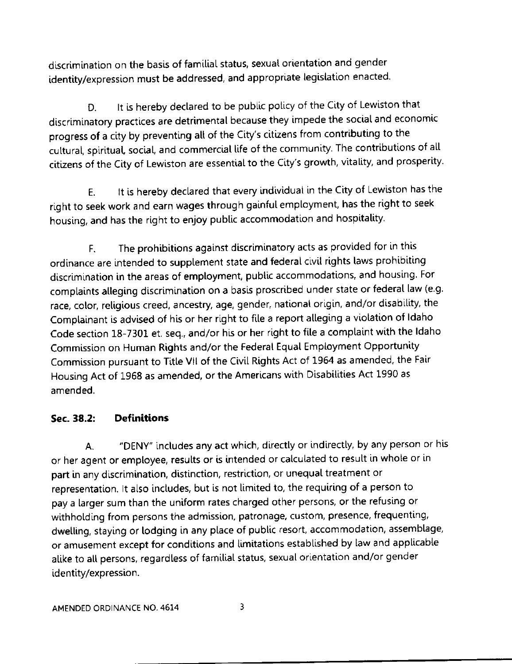discrimination on the basis of familial status, sexual orientation and gender identity/expression must be addressed, and appropriate legislation enacted.

It is hereby declared to be public policy of the City of Lewiston that D. discriminatory practices are detrimental because they impede the social and economic progress of a city by preventing all of the City's citizens from contributing to the cultural, spiritual, social, and commercial life of the community. The contributions of all citizens of the City of Lewiston are essential to the City's growth, vitality, and prosperity.

It is hereby declared that every individual in the City of Lewiston has the  $E.$ right to seek work and earn wages through gainful employment, has the right to seek housing, and has the right to enjoy public accommodation and hospitality.

The prohibitions against discriminatory acts as provided for in this F. ordinance are intended to supplement state and federal civil rights laws prohibiting discrimination in the areas of employment, public accommodations, and housing. For complaints alleging discrimination on a basis proscribed under state or federal law (e.g. race, color, religious creed, ancestry, age, gender, national origin, and/or disability, the Complainant is advised of his or her right to file a report alleging a violation of Idaho Code section 18-7301 et. seq., and/or his or her right to file a complaint with the Idaho Commission on Human Rights and/or the Federal Equal Employment Opportunity Commission pursuant to Title VII of the Civil Rights Act of 1964 as amended, the Fair Housing Act of 1968 as amended, or the Americans with Disabilities Act 1990 as amended.

#### **Definitions** Sec. 38.2:

"DENY" includes any act which, directly or indirectly, by any person or his A. or her agent or employee, results or is intended or calculated to result in whole or in part in any discrimination, distinction, restriction, or unequal treatment or representation. It also includes, but is not limited to, the requiring of a person to pay a larger sum than the uniform rates charged other persons, or the refusing or withholding from persons the admission, patronage, custom, presence, frequenting, dwelling, staying or lodging in any place of public resort, accommodation, assemblage, or amusement except for conditions and limitations established by law and applicable alike to all persons, regardless of familial status, sexual orientation and/or gender identity/expression.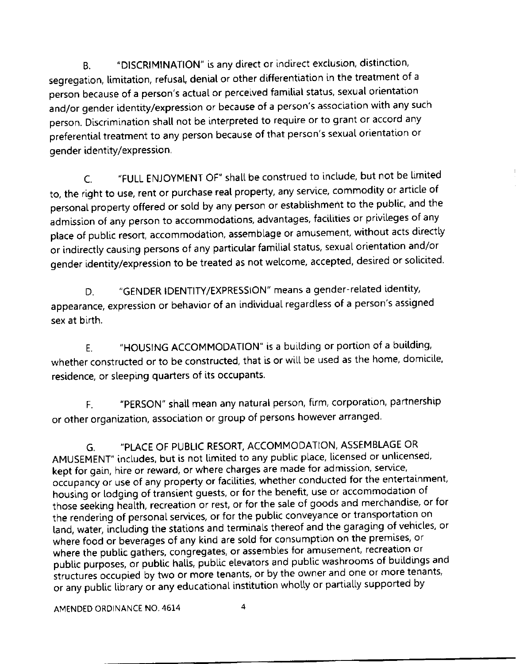"DISCRIMINATION" is any direct or indirect exclusion, distinction, **B.** segregation, limitation, refusal, denial or other differentiation in the treatment of a person because of a person's actual or perceived familial status, sexual orientation and/or gender identity/expression or because of a person's association with any such person. Discrimination shall not be interpreted to require or to grant or accord any preferential treatment to any person because of that person's sexual orientation or gender identity/expression.

"FULL ENJOYMENT OF" shall be construed to include, but not be limited  $\mathsf{C}$ . to, the right to use, rent or purchase real property, any service, commodity or article of personal property offered or sold by any person or establishment to the public, and the admission of any person to accommodations, advantages, facilities or privileges of any place of public resort, accommodation, assemblage or amusement, without acts directly or indirectly causing persons of any particular familial status, sexual orientation and/or gender identity/expression to be treated as not welcome, accepted, desired or solicited.

"GENDER IDENTITY/EXPRESSION" means a gender-related identity, D. appearance, expression or behavior of an individual regardless of a person's assigned sex at birth.

"HOUSING ACCOMMODATION" is a building or portion of a building, F. whether constructed or to be constructed, that is or will be used as the home, domicile, residence, or sleeping quarters of its occupants.

"PERSON" shall mean any natural person, firm, corporation, partnership F. or other organization, association or group of persons however arranged.

"PLACE OF PUBLIC RESORT, ACCOMMODATION, ASSEMBLAGE OR G. AMUSEMENT" includes, but is not limited to any public place, licensed or unlicensed, kept for gain, hire or reward, or where charges are made for admission, service, occupancy or use of any property or facilities, whether conducted for the entertainment, housing or lodging of transient guests, or for the benefit, use or accommodation of those seeking health, recreation or rest, or for the sale of goods and merchandise, or for the rendering of personal services, or for the public conveyance or transportation on land, water, including the stations and terminals thereof and the garaging of vehicles, or where food or beverages of any kind are sold for consumption on the premises, or where the public gathers, congregates, or assembles for amusement, recreation or public purposes, or public halls, public elevators and public washrooms of buildings and structures occupied by two or more tenants, or by the owner and one or more tenants, or any public library or any educational institution wholly or partially supported by

AMENDED ORDINANCE NO. 4614

4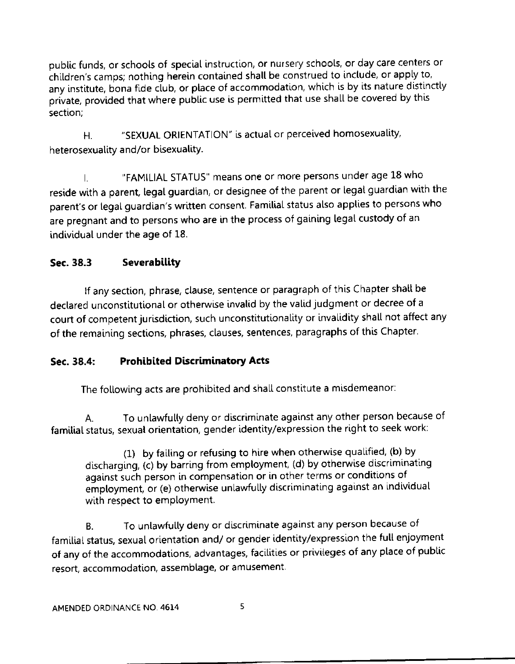public funds, or schools of special instruction, or nursery schools, or day care centers or children's camps; nothing herein contained shall be construed to include, or apply to, any institute, bona fide club, or place of accommodation, which is by its nature distinctly private, provided that where public use is permitted that use shall be covered by this section;

H. "SEXUAL ORIENTATION" is actual or perceived homosexuality, heterosexuality and/or bisexuatity.

l. "FAMILIAL STATUS" means one or more persons under age 18 who reside with a parent, legal guardian, or designee of the parent or legal guardian with the parent's or legal guardian's written consent. Familial status also applies to persons who are pregnant and to persons who are in the process of gaining legal custody of an individual under the age of 18.

### Sec. 38.3 Severabillty

lf any section, phrase, clause, sentence or paragraph of this Chapter shatl be declared unconstitutional or otherwise invalid by the valid judgment or decree of a court of competent jurisdiction, such unconstitutionality or invalidity shall not affect any of the remaining sections, phrases, clauses, sentences, paragraphs of this Chapter'

#### Sec. 38.4: Prohibited Discriminatory Acts

The following acts are prohibited and shall constitute a misdemeanor:

A. To unlawfully deny or discriminate against any other person because of familial status, sexual orientation, gender identity/expression the right to seek work:

(1) by failing or refusing to hire when otherwise qualified, (b) by discharging, (c) by barring from employment, (d) by otherwise discriminating against such person in compensation or in other terms or conditions of employment, or (e) otherwise unlawfully discriminating against an individual with respect to employment,

B. To unlawfully deny or discriminate against any person because of familial status, sexual orientation and/ or gender identity/expression the full enjoyment of any of the accommodations, advantages, facilities or privileges of any place of public resort, accommodation, assemblage, or amusement.

5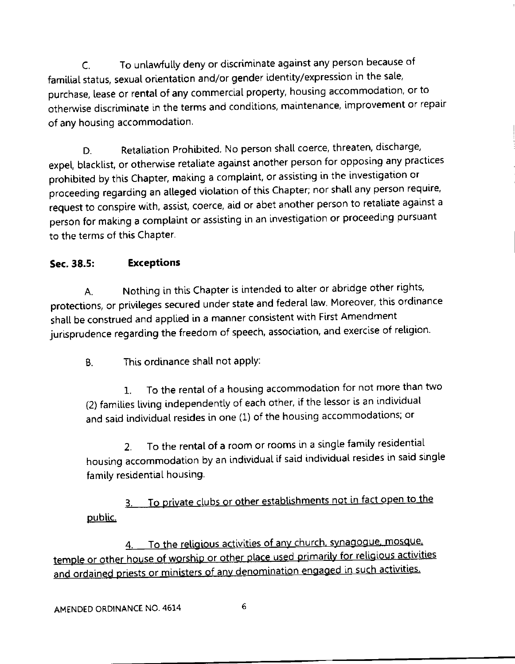C. To unlawfully deny or discriminate against any person because of familial status, sexual orientation and/or gender identity/expression in the sale, purchase, lease or rental of any commercial property, housing accommodation, or to otherwise discriminate in the terms and conditions, maintenance, improvement or repair of any housing accommodation.

D. Retaliation Prohibited. No person shall coerce, threaten, discharge, expel, blacklist, or otherwise retaliate against another person for opposing any practices prohibited by this Chapter, making a complaint, or assisting in the investigation or proceeding regarding an alleged violation of this Chapter; nor shall any person require, request to conspire with, assist, coerce, aid or abet another person to retaliate against a person for making a complaint or assisting in an investigation or proceeding pursuant to the terms of this Chapter.

### Sec. 38.5: Exceptions

A. Nothing in this Chapter is intended to alter or abridge other rights, protections, or privileges secured under state and federal law. Moreover, this ordinance shall be construed and applied in a manner consistent with First Amendment jurisprudence regarding the freedom of speech, association, and exercise of religion.

B. This ordinance shall not apply:

1. To the rental of a housing accommodation for not more than two (2) famlties tiving independently of each other, lf the lessor is an individual and said individuat resides in one (1) of the housing accommodations; or

2. To the rental of a room or rooms in a single family residential housing accommodation by an individual if said individual resides in said single family residential housing.

To private clubs or other establishments not in fact open to the 3. oublic.

4. To the religious activities of any church, synagogue, mosque, temple or other house of worship or other place used primarily for religious activities and ordained priests or ministers of any denomination engaged in such activities.

6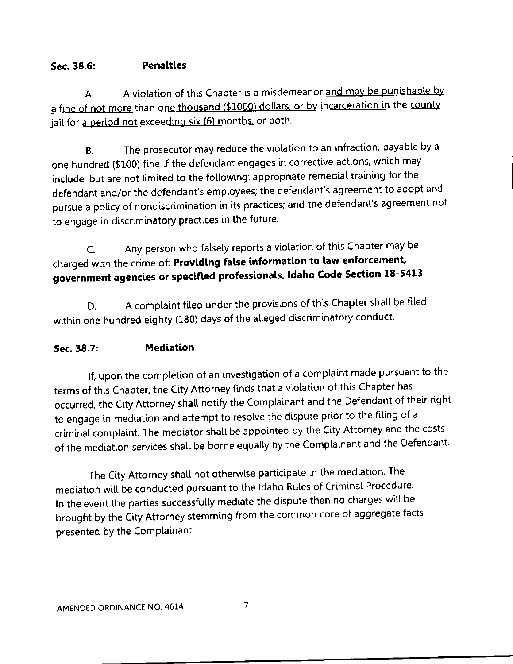#### Sec. 38.6: Penalties

A. A violation of this Chapter is a misdemeanor and may be punishable by<br>a fine of not more than one thousand (\$1000) dollars, or by incarceration in the county A. jail for a period not exceeding six (6) months, or both.

B. The prosecutor may reduce the violation to an infraction, payable by a one hundred (\$100) fine if the defendant engages in corrective actions, which may include, but are not limited to the following: appropriate remedial training for the defendant and/or the defendant's emptoyees; the defendant's agreement to adopt and pursue a policy of nondiscrimination in its practices; and the defendant's agreement not to engage in discriminatory practices in the future.

C. Any person who fatsety reports a violation of this Chapter may be charged with the crime of: Providing false information to law enforcement, government agencies or specified professionals, Idaho Code Section 18-5413.

D. A complaint filed under the provisions of this Chapter shall be filed within one hundred eighty (180) days of the alleged discriminatory conduct.

#### Sec. 38.7: Medlation

If, upon the completion of an investigation of a complaint made pursuant to the terms of this chapter, the city Attorney finds that a viotation of this chapter has occurred, the City Attorney shall notify the Complainant and the Defendant of their right to engage in mediation and attempt to resolve the dispute prior to the flling of <sup>a</sup> criminat comptaint. The mediator shalt be appointed by the city Attorney and the costs of the mediation services shall be borne equally by the Complainant and the Defendant.

The City Attorney shall not otherwise participate in the mediation. The mediation will be conducted pursuant to the Idaho Rules of Criminal Procedure. In the event the parties successfully mediate the dispute then no charges will be brought by the City Attorney stemming from the common core of aggregate facts presented by the Complainant.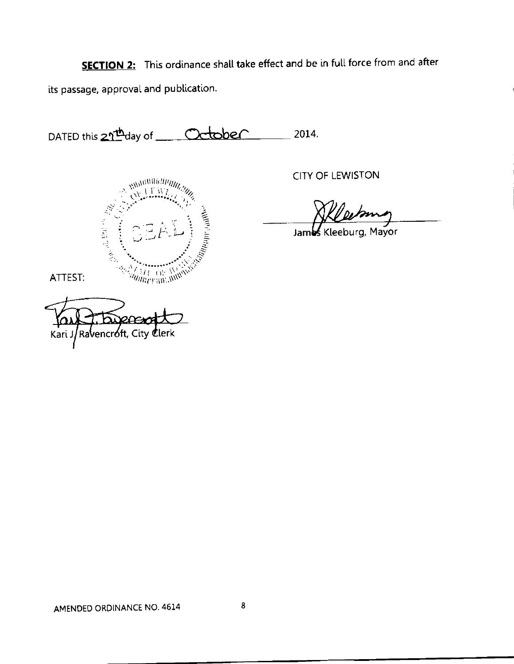**SECTION 2:** This ordinance shall take effect and be in full force from and after its passage, approval and publication.

DATED this 2<sup>1th</sup>day of Cctober 2014.



**CITY OF LEWISTON** 

Jambs Kleeburg, Mayor

ATTEST:

Ravencróft, City Kari J